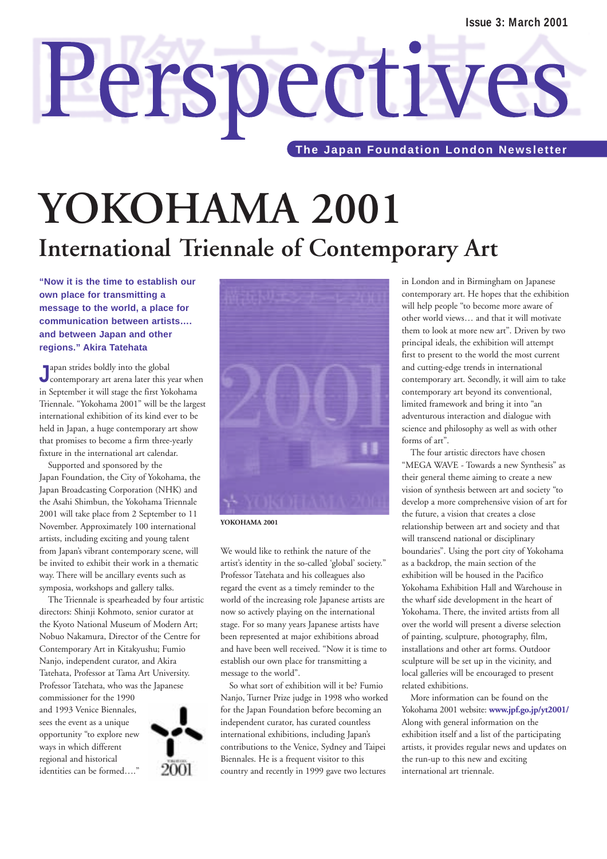# **YOKOHAMA 2001 International Triennale of Contemporary Art**

Perspectives

**"Now it is the time to establish our own place for transmitting a message to the world, a place for communication between artists…. and between Japan and other regions." Akira Tatehata**

**J** apan strides boldly into the global<br>
contemporary art arena later this year when apan strides boldly into the global in September it will stage the first Yokohama Triennale. "Yokohama 2001" will be the largest international exhibition of its kind ever to be held in Japan, a huge contemporary art show that promises to become a firm three-yearly fixture in the international art calendar.

Supported and sponsored by the Japan Foundation, the City of Yokohama, the Japan Broadcasting Corporation (NHK) and the Asahi Shimbun, the Yokohama Triennale 2001 will take place from 2 September to 11 November. Approximately 100 international artists, including exciting and young talent from Japan's vibrant contemporary scene, will be invited to exhibit their work in a thematic way. There will be ancillary events such as symposia, workshops and gallery talks.

The Triennale is spearheaded by four artistic directors: Shinji Kohmoto, senior curator at the Kyoto National Museum of Modern Art; Nobuo Nakamura, Director of the Centre for Contemporary Art in Kitakyushu; Fumio Nanjo, independent curator, and Akira Tatehata, Professor at Tama Art University. Professor Tatehata, who was the Japanese

commissioner for the 1990 and 1993 Venice Biennales, sees the event as a unique opportunity "to explore new ways in which different regional and historical identities can be formed…."





**YOKOHAMA 2001** 

We would like to rethink the nature of the artist's identity in the so-called 'global' society." Professor Tatehata and his colleagues also regard the event as a timely reminder to the world of the increasing role Japanese artists are now so actively playing on the international stage. For so many years Japanese artists have been represented at major exhibitions abroad and have been well received. "Now it is time to establish our own place for transmitting a message to the world".

So what sort of exhibition will it be? Fumio Nanjo, Turner Prize judge in 1998 who worked for the Japan Foundation before becoming an independent curator, has curated countless international exhibitions, including Japan's contributions to the Venice, Sydney and Taipei Biennales. He is a frequent visitor to this country and recently in 1999 gave two lectures

in London and in Birmingham on Japanese contemporary art. He hopes that the exhibition will help people "to become more aware of other world views… and that it will motivate them to look at more new art". Driven by two principal ideals, the exhibition will attempt first to present to the world the most current and cutting-edge trends in international contemporary art. Secondly, it will aim to take contemporary art beyond its conventional, limited framework and bring it into "an adventurous interaction and dialogue with science and philosophy as well as with other forms of art".

The four artistic directors have chosen "MEGA WAVE - Towards a new Synthesis" as their general theme aiming to create a new vision of synthesis between art and society "to develop a more comprehensive vision of art for the future, a vision that creates a close relationship between art and society and that will transcend national or disciplinary boundaries". Using the port city of Yokohama as a backdrop, the main section of the exhibition will be housed in the Pacifico Yokohama Exhibition Hall and Warehouse in the wharf side development in the heart of Yokohama. There, the invited artists from all over the world will present a diverse selection of painting, sculpture, photography, film, installations and other art forms. Outdoor sculpture will be set up in the vicinity, and local galleries will be encouraged to present related exhibitions.

More information can be found on the Yokohama 2001 website: **www.jpf.go.jp/yt2001/** Along with general information on the exhibition itself and a list of the participating artists, it provides regular news and updates on the run-up to this new and exciting international art triennale.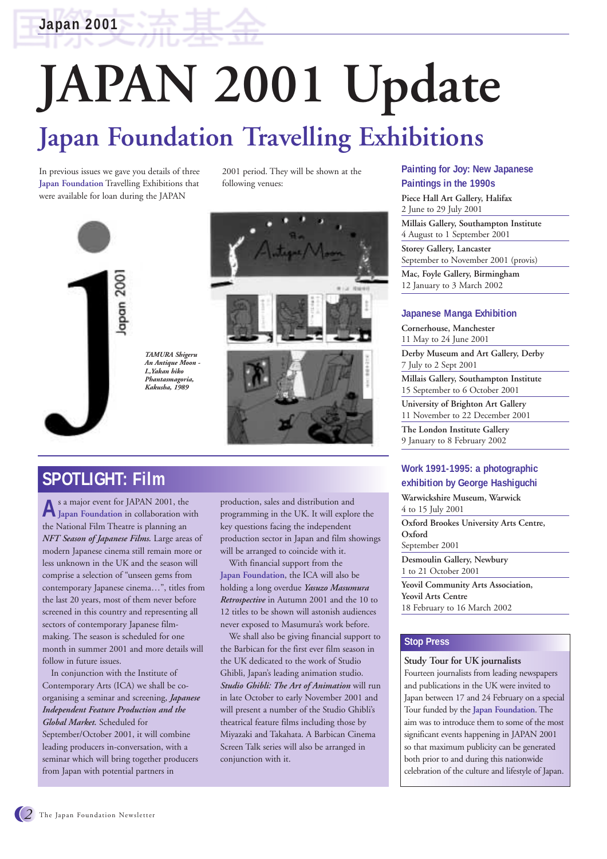**Japan 2001**

# **JAPAN 2001 Update Japan Foundation Travelling Exhibitions**

In previous issues we gave you details of three **Japan Foundation** Travelling Exhibitions that were available for loan during the JAPAN

2001 period. They will be shown at the following venues:





### **SPOTLIGHT: Film**

**A**s a major event for JAPAN 2001, the **Japan Foundation** in collaboration with the National Film Theatre is planning an *NFT Season of Japanese Films.* Large areas of modern Japanese cinema still remain more or less unknown in the UK and the season will comprise a selection of "unseen gems from contemporary Japanese cinema…", titles from the last 20 years, most of them never before screened in this country and representing all sectors of contemporary Japanese filmmaking. The season is scheduled for one month in summer 2001 and more details will follow in future issues.

In conjunction with the Institute of Contemporary Arts (ICA) we shall be coorganising a seminar and screening, *Japanese Independent Feature Production and the Global Market.* Scheduled for September/October 2001, it will combine leading producers in-conversation, with a seminar which will bring together producers from Japan with potential partners in

production, sales and distribution and programming in the UK. It will explore the key questions facing the independent production sector in Japan and film showings will be arranged to coincide with it.

With financial support from the **Japan Foundation**, the ICA will also be holding a long overdue *Yasuzo Masumura Retrospective* in Autumn 2001 and the 10 to 12 titles to be shown will astonish audiences never exposed to Masumura's work before.

We shall also be giving financial support to the Barbican for the first ever film season in the UK dedicated to the work of Studio Ghibli, Japan's leading animation studio. *Studio Ghibli: The Art of Animation* will run in late October to early November 2001 and will present a number of the Studio Ghibli's theatrical feature films including those by Miyazaki and Takahata. A Barbican Cinema Screen Talk series will also be arranged in conjunction with it.

#### **Painting for Joy: New Japanese Paintings in the 1990s**

**Piece Hall Art Gallery, Halifax** 2 June to 29 July 2001 **Millais Gallery, Southampton Institute** 4 August to 1 September 2001 **Storey Gallery, Lancaster** September to November 2001 (provis) **Mac, Foyle Gallery, Birmingham** 12 January to 3 March 2002

#### **Japanese Manga Exhibition**

**Cornerhouse, Manchester** 11 May to 24 June 2001 **Derby Museum and Art Gallery, Derby** 7 July to 2 Sept 2001 **Millais Gallery, Southampton Institute** 15 September to 6 October 2001 **University of Brighton Art Gallery** 11 November to 22 December 2001 **The London Institute Gallery** 9 January to 8 February 2002

### **Work 1991-1995: a photographic exhibition by George Hashiguchi**

**Warwickshire Museum, Warwick** 4 to 15 July 2001

**Oxford Brookes University Arts Centre, Oxford**  September 2001

**Desmoulin Gallery, Newbury** 1 to 21 October 2001

**Yeovil Community Arts Association, Yeovil Arts Centre**  18 February to 16 March 2002

#### **Stop Press**

**Study Tour for UK journalists**

Fourteen journalists from leading newspapers and publications in the UK were invited to Japan between 17 and 24 February on a special Tour funded by the **Japan Foundation**. The aim was to introduce them to some of the most significant events happening in JAPAN 2001 so that maximum publicity can be generated both prior to and during this nationwide celebration of the culture and lifestyle of Japan.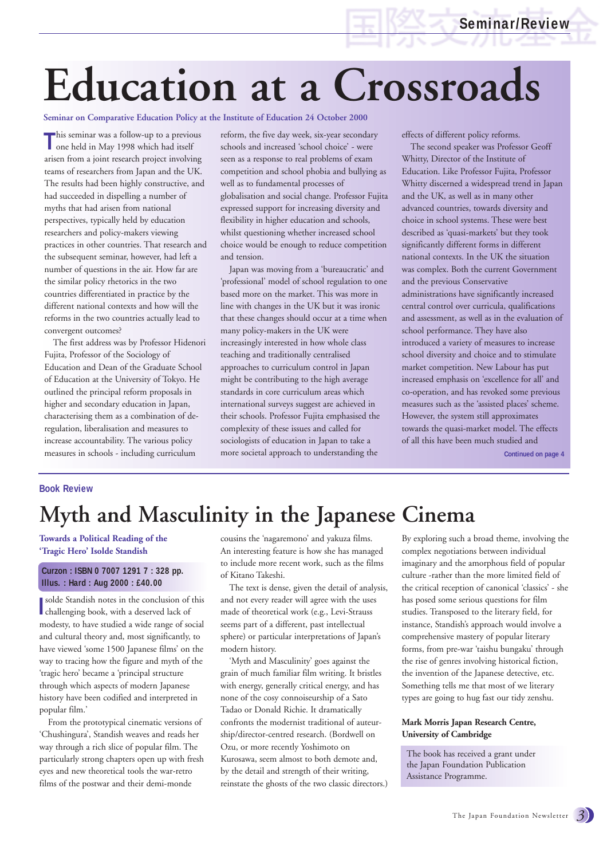# **Education at a Crossroads**

#### **Seminar on Comparative Education Policy at the Institute of Education 24 October 2000**

This seminar was a follow-up to a previous<br>
one held in May 1998 which had itself one held in May 1998 which had itself arisen from a joint research project involving teams of researchers from Japan and the UK. The results had been highly constructive, and had succeeded in dispelling a number of myths that had arisen from national perspectives, typically held by education researchers and policy-makers viewing practices in other countries. That research and the subsequent seminar, however, had left a number of questions in the air. How far are the similar policy rhetorics in the two countries differentiated in practice by the different national contexts and how will the reforms in the two countries actually lead to convergent outcomes?

The first address was by Professor Hidenori Fujita, Professor of the Sociology of Education and Dean of the Graduate School of Education at the University of Tokyo. He outlined the principal reform proposals in higher and secondary education in Japan, characterising them as a combination of deregulation, liberalisation and measures to increase accountability. The various policy measures in schools - including curriculum

reform, the five day week, six-year secondary schools and increased 'school choice' - were seen as a response to real problems of exam competition and school phobia and bullying as well as to fundamental processes of globalisation and social change. Professor Fujita expressed support for increasing diversity and flexibility in higher education and schools, whilst questioning whether increased school choice would be enough to reduce competition and tension.

Japan was moving from a 'bureaucratic' and 'professional' model of school regulation to one based more on the market. This was more in line with changes in the UK but it was ironic that these changes should occur at a time when many policy-makers in the UK were increasingly interested in how whole class teaching and traditionally centralised approaches to curriculum control in Japan might be contributing to the high average standards in core curriculum areas which international surveys suggest are achieved in their schools. Professor Fujita emphasised the complexity of these issues and called for sociologists of education in Japan to take a more societal approach to understanding the

effects of different policy reforms.

The second speaker was Professor Geoff Whitty, Director of the Institute of Education. Like Professor Fujita, Professor Whitty discerned a widespread trend in Japan and the UK, as well as in many other advanced countries, towards diversity and choice in school systems. These were best described as 'quasi-markets' but they took significantly different forms in different national contexts. In the UK the situation was complex. Both the current Government and the previous Conservative administrations have significantly increased central control over curricula, qualifications and assessment, as well as in the evaluation of school performance. They have also introduced a variety of measures to increase school diversity and choice and to stimulate market competition. New Labour has put increased emphasis on 'excellence for all' and co-operation, and has revoked some previous measures such as the 'assisted places' scheme. However, the system still approximates towards the quasi-market model. The effects of all this have been much studied and

**Continued on page 4**

#### **Book Review**

## **Myth and Masculinity in the Japanese Cinema**

**Towards a Political Reading of the 'Tragic Hero' Isolde Standish**

#### **Curzon : ISBN 0 7007 1291 7 : 328 pp. Illus. : Hard : Aug 2000 : £40.00**

**I**solde Standish notes in the conclusion of
challenging book, with a deserved lack of solde Standish notes in the conclusion of this modesty, to have studied a wide range of social and cultural theory and, most significantly, to have viewed 'some 1500 Japanese films' on the way to tracing how the figure and myth of the 'tragic hero' became a 'principal structure through which aspects of modern Japanese history have been codified and interpreted in popular film.'

From the prototypical cinematic versions of 'Chushingura', Standish weaves and reads her way through a rich slice of popular film. The particularly strong chapters open up with fresh eyes and new theoretical tools the war-retro films of the postwar and their demi-monde

cousins the 'nagaremono' and yakuza films. An interesting feature is how she has managed to include more recent work, such as the films of Kitano Takeshi.

The text is dense, given the detail of analysis, and not every reader will agree with the uses made of theoretical work (e.g., Levi-Strauss seems part of a different, past intellectual sphere) or particular interpretations of Japan's modern history.

'Myth and Masculinity' goes against the grain of much familiar film writing. It bristles with energy, generally critical energy, and has none of the cosy connoiseurship of a Sato Tadao or Donald Richie. It dramatically confronts the modernist traditional of auteurship/director-centred research. (Bordwell on Ozu, or more recently Yoshimoto on Kurosawa, seem almost to both demote and, by the detail and strength of their writing, reinstate the ghosts of the two classic directors.)

By exploring such a broad theme, involving the complex negotiations between individual imaginary and the amorphous field of popular culture -rather than the more limited field of the critical reception of canonical 'classics' - she has posed some serious questions for film studies. Transposed to the literary field, for instance, Standish's approach would involve a comprehensive mastery of popular literary forms, from pre-war 'taishu bungaku' through the rise of genres involving historical fiction, the invention of the Japanese detective, etc. Something tells me that most of we literary types are going to hug fast our tidy zenshu.

#### **Mark Morris Japan Research Centre, University of Cambridge**

The book has received a grant under the Japan Foundation Publication Assistance Programme.